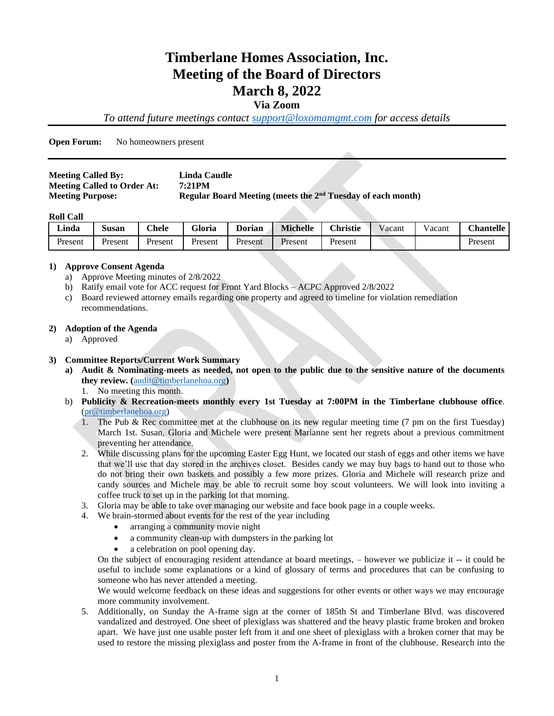# **Timberlane Homes Association, Inc. Meeting of the Board of Directors March 8, 2022**

## **Via Zoom**

*To attend future meetings contact [support@loxomamgmt.com](mailto:support@loxomamgmt.com) for access details*

**Open Forum:** No homeowners present

| <b>Meeting Called By:</b>          | Linda Caudle                                                  |
|------------------------------------|---------------------------------------------------------------|
| <b>Meeting Called to Order At:</b> | 7:21PM                                                        |
| <b>Meeting Purpose:</b>            | Regular Board Meeting (meets the $2nd$ Tuesday of each month) |

#### **Roll Call**

| <b>Linda</b> | $\sim$<br>Susan | <b>Chele</b> | <b>Gloria</b> | <b>Dorian</b> | <b>Michelle</b> | <b>Christie</b> | Vacant | acant | <b>Chantelle</b> |
|--------------|-----------------|--------------|---------------|---------------|-----------------|-----------------|--------|-------|------------------|
| Present      | Present         | Present      | Present       | Present       | Present         | Present         |        |       | Present          |

## **1) Approve Consent Agenda**

- a) Approve Meeting minutes of 2/8/2022
- b) Ratify email vote for ACC request for Front Yard Blocks ACPC Approved 2/8/2022
- c) Board reviewed attorney emails regarding one property and agreed to timeline for violation remediation recommendations.

#### **2) Adoption of the Agenda**

a) Approved

## **3) Committee Reports/Current Work Summary**

- **a) Audit & Nominating**-**meets as needed, not open to the public due to the sensitive nature of the documents they review. (**[audit@timberlanehoa.org](mailto:audit@timberlanehoa.org)**)** 
	- 1. No meeting this month.
- b) **Publicity & Recreation-meets monthly every 1st Tuesday at 7:00PM in the Timberlane clubhouse office**. [\(pr@timberlanehoa.org\)](mailto:pr@timberlanehoa.org)
	- 1. The Pub & Rec committee met at the clubhouse on its new regular meeting time (7 pm on the first Tuesday) March 1st. Susan, Gloria and Michele were present Marianne sent her regrets about a previous commitment preventing her attendance.
	- 2. While discussing plans for the upcoming Easter Egg Hunt, we located our stash of eggs and other items we have that we'll use that day stored in the archives closet. Besides candy we may buy bags to hand out to those who do not bring their own baskets and possibly a few more prizes. Gloria and Michele will research prize and candy sources and Michele may be able to recruit some boy scout volunteers. We will look into inviting a coffee truck to set up in the parking lot that morning.
	- 3. Gloria may be able to take over managing our website and face book page in a couple weeks.
	- 4. We brain-stormed about events for the rest of the year including
		- arranging a community movie night
		- a community clean-up with dumpsters in the parking lot
		- a celebration on pool opening day.

On the subject of encouraging resident attendance at board meetings, – however we publicize it -- it could be useful to include some explanations or a kind of glossary of terms and procedures that can be confusing to someone who has never attended a meeting.

We would welcome feedback on these ideas and suggestions for other events or other ways we may encourage more community involvement.

5. Additionally, on Sunday the A-frame sign at the corner of 185th St and Timberlane Blvd. was discovered vandalized and destroyed. One sheet of plexiglass was shattered and the heavy plastic frame broken and broken apart. We have just one usable poster left from it and one sheet of plexiglass with a broken corner that may be used to restore the missing plexiglass and poster from the A-frame in front of the clubhouse. Research into the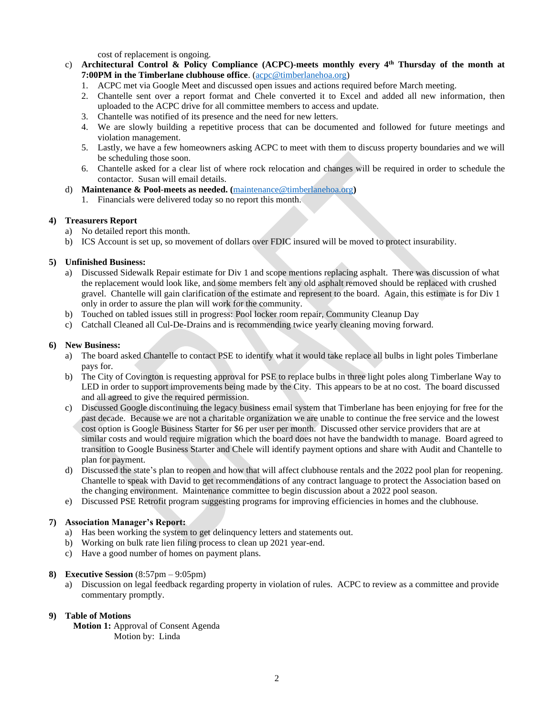cost of replacement is ongoing.

- c) **Architectural Control & Policy Compliance (ACPC)-meets monthly every 4 th Thursday of the month at 7:00PM in the Timberlane clubhouse office**. [\(acpc@timberlanehoa.org\)](mailto:acpc@timberlanehoa.org)
	- 1. ACPC met via Google Meet and discussed open issues and actions required before March meeting.
	- 2. Chantelle sent over a report format and Chele converted it to Excel and added all new information, then uploaded to the ACPC drive for all committee members to access and update.
	- 3. Chantelle was notified of its presence and the need for new letters.
	- 4. We are slowly building a repetitive process that can be documented and followed for future meetings and violation management.
	- 5. Lastly, we have a few homeowners asking ACPC to meet with them to discuss property boundaries and we will be scheduling those soon.
	- 6. Chantelle asked for a clear list of where rock relocation and changes will be required in order to schedule the contactor. Susan will email details.
- d) **Maintenance & Pool**-**meets as needed. (**[maintenance@timberlanehoa.org](mailto:maintenance@timberlanehoa.org)**)** 
	- 1. Financials were delivered today so no report this month.

## **4) Treasurers Report**

- a) No detailed report this month.
- b) ICS Account is set up, so movement of dollars over FDIC insured will be moved to protect insurability.

## **5) Unfinished Business:**

- a) Discussed Sidewalk Repair estimate for Div 1 and scope mentions replacing asphalt. There was discussion of what the replacement would look like, and some members felt any old asphalt removed should be replaced with crushed gravel. Chantelle will gain clarification of the estimate and represent to the board. Again, this estimate is for Div 1 only in order to assure the plan will work for the community.
- b) Touched on tabled issues still in progress: Pool locker room repair, Community Cleanup Day
- c) Catchall Cleaned all Cul-De-Drains and is recommending twice yearly cleaning moving forward.

## **6) New Business:**

- a) The board asked Chantelle to contact PSE to identify what it would take replace all bulbs in light poles Timberlane pays for.
- b) The City of Covington is requesting approval for PSE to replace bulbs in three light poles along Timberlane Way to LED in order to support improvements being made by the City. This appears to be at no cost. The board discussed and all agreed to give the required permission.
- c) Discussed Google discontinuing the legacy business email system that Timberlane has been enjoying for free for the past decade. Because we are not a charitable organization we are unable to continue the free service and the lowest cost option is Google Business Starter for \$6 per user per month. Discussed other service providers that are at similar costs and would require migration which the board does not have the bandwidth to manage. Board agreed to transition to Google Business Starter and Chele will identify payment options and share with Audit and Chantelle to plan for payment.
- d) Discussed the state's plan to reopen and how that will affect clubhouse rentals and the 2022 pool plan for reopening. Chantelle to speak with David to get recommendations of any contract language to protect the Association based on the changing environment. Maintenance committee to begin discussion about a 2022 pool season.
- e) Discussed PSE Retrofit program suggesting programs for improving efficiencies in homes and the clubhouse.

#### **7) Association Manager's Report:**

- a) Has been working the system to get delinquency letters and statements out.
- b) Working on bulk rate lien filing process to clean up 2021 year-end.
- c) Have a good number of homes on payment plans.

#### **8) Executive Session** (8:57pm – 9:05pm)

a) Discussion on legal feedback regarding property in violation of rules. ACPC to review as a committee and provide commentary promptly.

#### **9) Table of Motions**

**Motion 1:** Approval of Consent Agenda Motion by: Linda